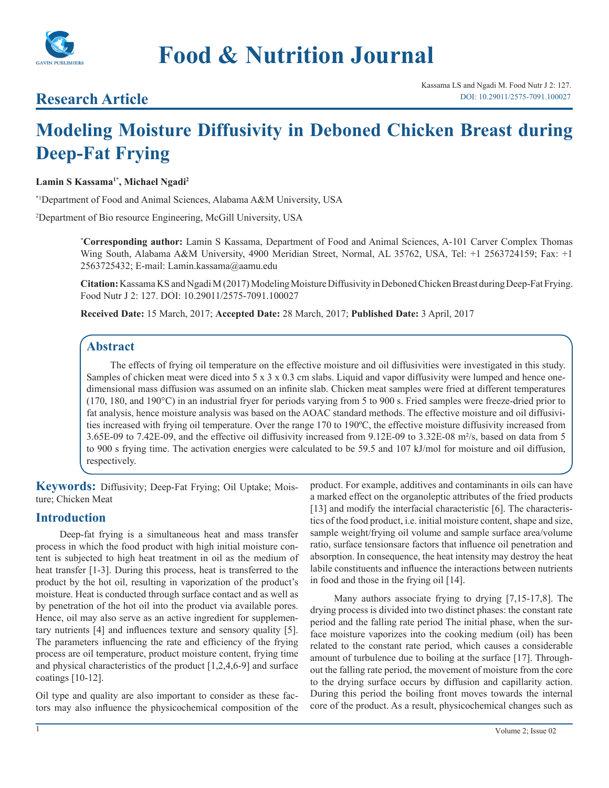

# **Research Article**

# **Modeling Moisture Diffusivity in Deboned Chicken Breast during Deep-Fat Frying**

#### Lamin S Kassama<sup>1\*</sup>, Michael Ngadi<sup>2</sup>

\*1 Department of Food and Animal Sciences, Alabama A&M University, USA

2 Department of Bio resource Engineering, McGill University, USA

**\* Corresponding author:** Lamin S Kassama, Department of Food and Animal Sciences, A-101 Carver Complex Thomas Wing South, Alabama A&M University, 4900 Meridian Street, Normal, AL 35762, USA, Tel: +1 2563724159; Fax: +1 2563725432; E-mail: Lamin.kassama@aamu.edu

**Citation:** Kassama KS and Ngadi M (2017) Modeling Moisture Diffusivity in Deboned Chicken Breast during Deep-Fat Frying. Food Nutr J 2: 127. DOI: 10.29011/2575-7091.100027

**Received Date:** 15 March, 2017; **Accepted Date:** 28 March, 2017; **Published Date:** 3 April, 2017

# **Abstract**

The effects of frying oil temperature on the effective moisture and oil diffusivities were investigated in this study. Samples of chicken meat were diced into 5 x 3 x 0.3 cm slabs. Liquid and vapor diffusivity were lumped and hence onedimensional mass diffusion was assumed on an infinite slab. Chicken meat samples were fried at different temperatures (170, 180, and 190°C) in an industrial fryer for periods varying from 5 to 900 s. Fried samples were freeze-dried prior to fat analysis, hence moisture analysis was based on the AOAC standard methods. The effective moisture and oil diffusivities increased with frying oil temperature. Over the range 170 to 190ºC, the effective moisture diffusivity increased from 3.65E-09 to 7.42E-09, and the effective oil diffusivity increased from 9.12E-09 to 3.32E-08 m²/s, based on data from 5 to 900 s frying time. The activation energies were calculated to be 59.5 and 107 kJ/mol for moisture and oil diffusion, respectively.

**Keywords:** Diffusivity; Deep-Fat Frying; Oil Uptake; Moisture; Chicken Meat

#### **Introduction**

Deep-fat frying is a simultaneous heat and mass transfer process in which the food product with high initial moisture content is subjected to high heat treatment in oil as the medium of heat transfer [1-3]. During this process, heat is transferred to the product by the hot oil, resulting in vaporization of the product's moisture. Heat is conducted through surface contact and as well as by penetration of the hot oil into the product via available pores. Hence, oil may also serve as an active ingredient for supplementary nutrients [4] and influences texture and sensory quality [5]. The parameters influencing the rate and efficiency of the frying process are oil temperature, product moisture content, frying time and physical characteristics of the product [1,2,4,6-9] and surface coatings [10-12].

Oil type and quality are also important to consider as these factors may also influence the physicochemical composition of the

product. For example, additives and contaminants in oils can have a marked effect on the organoleptic attributes of the fried products [13] and modify the interfacial characteristic [6]. The characteristics of the food product, i.e. initial moisture content, shape and size, sample weight/frying oil volume and sample surface area/volume ratio, surface tensionsare factors that influence oil penetration and absorption. In consequence, the heat intensity may destroy the heat labile constituents and influence the interactions between nutrients in food and those in the frying oil [14].

Many authors associate frying to drying [7,15-17,8]. The drying process is divided into two distinct phases: the constant rate period and the falling rate period The initial phase, when the surface moisture vaporizes into the cooking medium (oil) has been related to the constant rate period, which causes a considerable amount of turbulence due to boiling at the surface [17]. Throughout the falling rate period, the movement of moisture from the core to the drying surface occurs by diffusion and capillarity action. During this period the boiling front moves towards the internal core of the product. As a result, physicochemical changes such as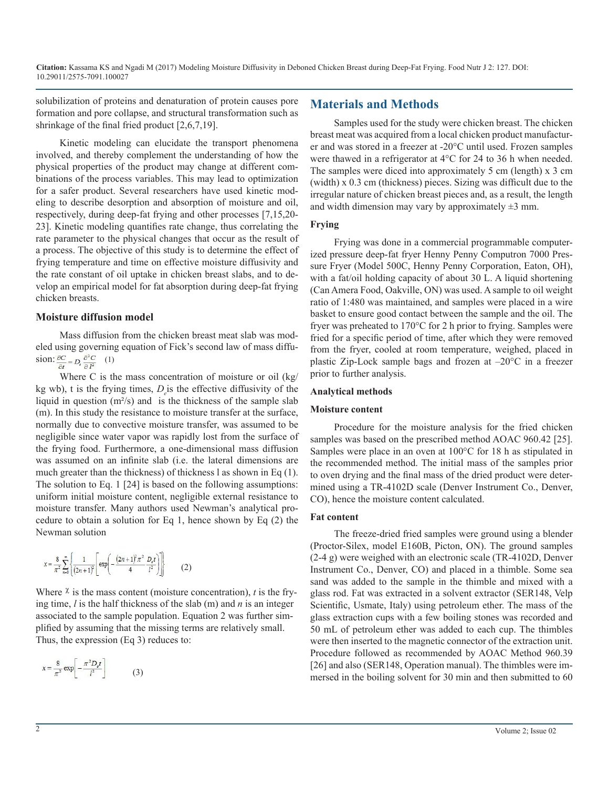solubilization of proteins and denaturation of protein causes pore formation and pore collapse, and structural transformation such as shrinkage of the final fried product [2,6,7,19].

Kinetic modeling can elucidate the transport phenomena involved, and thereby complement the understanding of how the physical properties of the product may change at different combinations of the process variables. This may lead to optimization for a safer product. Several researchers have used kinetic modeling to describe desorption and absorption of moisture and oil, respectively, during deep-fat frying and other processes [7,15,20- 23]. Kinetic modeling quantifies rate change, thus correlating the rate parameter to the physical changes that occur as the result of a process. The objective of this study is to determine the effect of frying temperature and time on effective moisture diffusivity and the rate constant of oil uptake in chicken breast slabs, and to develop an empirical model for fat absorption during deep-fat frying chicken breasts.

#### **Moisture diffusion model**

Mass diffusion from the chicken breast meat slab was modeled using governing equation of Fick's second law of mass diffusion:  $\frac{\partial C}{\partial t} = D_e \frac{\partial^2 C}{\partial l^2}$  (1)

Where C is the mass concentration of moisture or oil (kg/ kg wb), t is the frying times,  $D_e$  is the effective diffusivity of the liquid in question  $(m<sup>2</sup>/s)$  and is the thickness of the sample slab (m). In this study the resistance to moisture transfer at the surface, normally due to convective moisture transfer, was assumed to be negligible since water vapor was rapidly lost from the surface of the frying food. Furthermore, a one-dimensional mass diffusion was assumed on an infinite slab (i.e. the lateral dimensions are much greater than the thickness) of thickness l as shown in Eq (1). The solution to Eq. 1 [24] is based on the following assumptions: uniform initial moisture content, negligible external resistance to moisture transfer. Many authors used Newman's analytical procedure to obtain a solution for Eq 1, hence shown by Eq (2) the Newman solution

$$
x = \frac{8}{\pi^2} \sum_{n=0}^{\infty} \left\{ \frac{1}{(2n+1)^2} \left[ \exp\left( -\frac{(2n+1)^2 \pi^2}{4} \frac{D_t t}{l^2} \right) \right] \right\} \tag{2}
$$

Where  $\chi$  is the mass content (moisture concentration), *t* is the frying time, *l* is the half thickness of the slab (m) and *n* is an integer associated to the sample population. Equation 2 was further simplified by assuming that the missing terms are relatively small. Thus, the expression (Eq 3) reduces to:

$$
x = \frac{8}{\pi^2} \exp\left[-\frac{\pi^2 D_e t}{l^2}\right]
$$
 (3)

# **Materials and Methods**

Samples used for the study were chicken breast. The chicken breast meat was acquired from a local chicken product manufacturer and was stored in a freezer at -20°C until used. Frozen samples were thawed in a refrigerator at 4°C for 24 to 36 h when needed. The samples were diced into approximately 5 cm (length) x 3 cm (width) x 0.3 cm (thickness) pieces. Sizing was difficult due to the irregular nature of chicken breast pieces and, as a result, the length and width dimension may vary by approximately  $\pm 3$  mm.

#### **Frying**

Frying was done in a commercial programmable computerized pressure deep-fat fryer Henny Penny Computron 7000 Pressure Fryer (Model 500C, Henny Penny Corporation, Eaton, OH), with a fat/oil holding capacity of about 30 L. A liquid shortening (Can Amera Food, Oakville, ON) was used. A sample to oil weight ratio of 1:480 was maintained, and samples were placed in a wire basket to ensure good contact between the sample and the oil. The fryer was preheated to 170°C for 2 h prior to frying. Samples were fried for a specific period of time, after which they were removed from the fryer, cooled at room temperature, weighed, placed in plastic Zip-Lock sample bags and frozen at –20°C in a freezer prior to further analysis.

#### **Analytical methods**

#### **Moisture content**

Procedure for the moisture analysis for the fried chicken samples was based on the prescribed method AOAC 960.42 [25]. Samples were place in an oven at 100°C for 18 h as stipulated in the recommended method. The initial mass of the samples prior to oven drying and the final mass of the dried product were determined using a TR-4102D scale (Denver Instrument Co., Denver, CO), hence the moisture content calculated.

#### **Fat content**

The freeze-dried fried samples were ground using a blender (Proctor-Silex, model E160B, Picton, ON). The ground samples (2-4 g) were weighed with an electronic scale (TR-4102D, Denver Instrument Co., Denver, CO) and placed in a thimble. Some sea sand was added to the sample in the thimble and mixed with a glass rod. Fat was extracted in a solvent extractor (SER148, Velp Scientific, Usmate, Italy) using petroleum ether. The mass of the glass extraction cups with a few boiling stones was recorded and 50 mL of petroleum ether was added to each cup. The thimbles were then inserted to the magnetic connector of the extraction unit. Procedure followed as recommended by AOAC Method 960.39 [26] and also (SER148, Operation manual). The thimbles were immersed in the boiling solvent for 30 min and then submitted to 60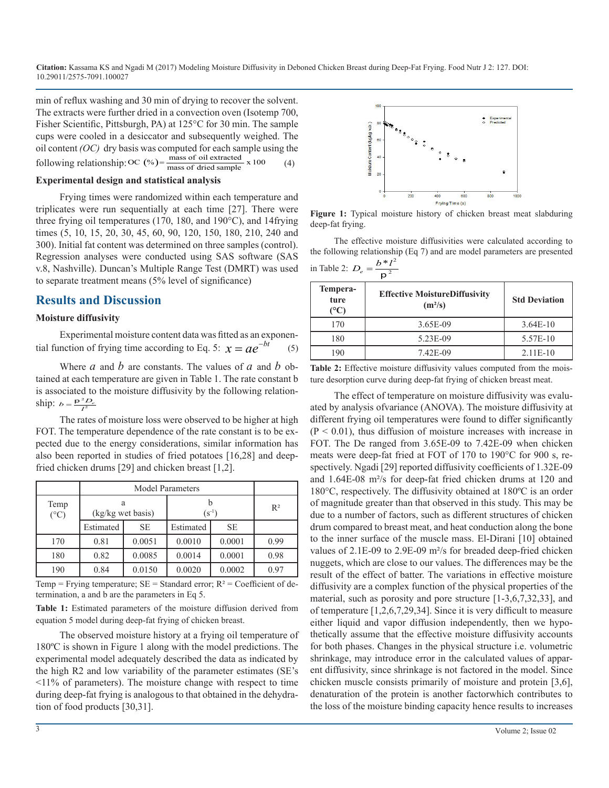min of reflux washing and 30 min of drying to recover the solvent. The extracts were further dried in a convection oven (Isotemp 700, Fisher Scientific, Pittsburgh, PA) at 125°C for 30 min. The sample cups were cooled in a desiccator and subsequently weighed. The oil content *(OC)* dry basis was computed for each sample using the following relationship: OC  $(*) = \frac{\text{mass of oil extracted}}{\text{mass of dried sample}} \times 100$  (4)

#### **Experimental design and statistical analysis**

Frying times were randomized within each temperature and triplicates were run sequentially at each time [27]. There were three frying oil temperatures (170, 180, and 190°C), and 14frying times (5, 10, 15, 20, 30, 45, 60, 90, 120, 150, 180, 210, 240 and 300). Initial fat content was determined on three samples (control). Regression analyses were conducted using SAS software (SAS v.8, Nashville). Duncan's Multiple Range Test (DMRT) was used to separate treatment means (5% level of significance)

#### **Results and Discussion**

#### **Moisture diffusivity**

Experimental moisture content data was fitted as an exponential function of frying time according to Eq. 5:  $x = ae^{-bt}$  (5)

Where *a* and *b* are constants. The values of *a* and *b* obtained at each temperature are given in Table 1. The rate constant b is associated to the moisture diffusivity by the following relationship:  $b = \frac{p^2 D_e}{l^2}$ 

The rates of moisture loss were observed to be higher at high FOT. The temperature dependence of the rate constant is to be expected due to the energy considerations, similar information has also been reported in studies of fried potatoes [16,28] and deepfried chicken drums [29] and chicken breast [1,2].

|                       | <b>Model Parameters</b> |           |            |           |       |
|-----------------------|-------------------------|-----------|------------|-----------|-------|
| Temp<br>$(^{\circ}C)$ | а<br>(kg/kg wet basis)  |           | $(S^{-1})$ |           | $R^2$ |
|                       | Estimated               | <b>SE</b> | Estimated  | <b>SE</b> |       |
| 170                   | 0.81                    | 0.0051    | 0.0010     | 0.0001    | 0.99  |
| 180                   | 0.82                    | 0.0085    | 0.0014     | 0.0001    | 0.98  |
| 190                   | 0.84                    | 0.0150    | 0.0020     | 0.0002    | 0.97  |

Temp = Frying temperature;  $SE = Standard error$ ;  $R^2 = Coefficient of de$ termination, a and b are the parameters in Eq 5.

**Table 1:** Estimated parameters of the moisture diffusion derived from equation 5 model during deep-fat frying of chicken breast.

The observed moisture history at a frying oil temperature of 180ºC is shown in Figure 1 along with the model predictions. The experimental model adequately described the data as indicated by the high R2 and low variability of the parameter estimates (SE's  $\leq$ 11% of parameters). The moisture change with respect to time during deep-fat frying is analogous to that obtained in the dehydration of food products [30,31].



**Figure 1:** Typical moisture history of chicken breast meat slabduring deep-fat frying.

The effective moisture diffusivities were calculated according to the following relationship (Eq 7) and are model parameters are presented in Table 2:  $D_e = \frac{b * l^2}{r^2}$  $D_e = \frac{b * l}{p^2}$ 

| Tempera-<br>ture<br>(°C) | <b>Effective MoistureDiffusivity</b><br>$(m^2/s)$ | <b>Std Deviation</b> |
|--------------------------|---------------------------------------------------|----------------------|
| 170                      | 3.65E-09                                          | $3.64E-10$           |
| 180                      | 5.23E-09                                          | 5.57E-10             |
| $\overline{90}$          | 7.42E-09                                          | $2.11E-10$           |

**Table 2:** Effective moisture diffusivity values computed from the moisture desorption curve during deep-fat frying of chicken breast meat.

The effect of temperature on moisture diffusivity was evaluated by analysis ofvariance (ANOVA). The moisture diffusivity at different frying oil temperatures were found to differ significantly  $(P < 0.01)$ , thus diffusion of moisture increases with increase in FOT. The De ranged from 3.65E-09 to 7.42E-09 when chicken meats were deep-fat fried at FOT of 170 to 190°C for 900 s, respectively. Ngadi [29] reported diffusivity coefficients of 1.32E-09 and 1.64E-08 m²/s for deep-fat fried chicken drums at 120 and 180°C, respectively. The diffusivity obtained at 180ºC is an order of magnitude greater than that observed in this study. This may be due to a number of factors, such as different structures of chicken drum compared to breast meat, and heat conduction along the bone to the inner surface of the muscle mass. El-Dirani [10] obtained values of 2.1E-09 to 2.9E-09 m²/s for breaded deep-fried chicken nuggets, which are close to our values. The differences may be the result of the effect of batter. The variations in effective moisture diffusivity are a complex function of the physical properties of the material, such as porosity and pore structure [1-3,6,7,32,33], and of temperature [1,2,6,7,29,34]. Since it is very difficult to measure either liquid and vapor diffusion independently, then we hypothetically assume that the effective moisture diffusivity accounts for both phases. Changes in the physical structure i.e. volumetric shrinkage, may introduce error in the calculated values of apparent diffusivity, since shrinkage is not factored in the model. Since chicken muscle consists primarily of moisture and protein [3,6], denaturation of the protein is another factorwhich contributes to the loss of the moisture binding capacity hence results to increases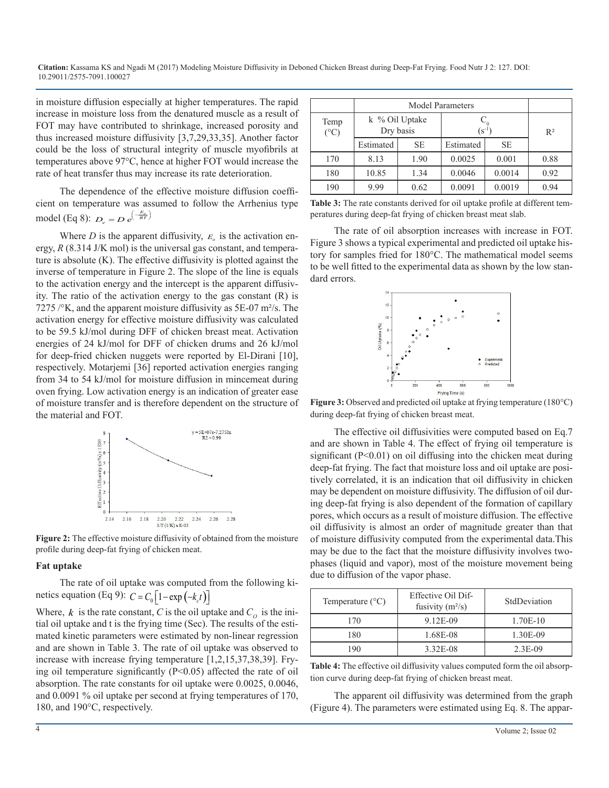in moisture diffusion especially at higher temperatures. The rapid increase in moisture loss from the denatured muscle as a result of FOT may have contributed to shrinkage, increased porosity and thus increased moisture diffusivity [3,7,29,33,35]. Another factor could be the loss of structural integrity of muscle myofibrils at temperatures above 97°C, hence at higher FOT would increase the rate of heat transfer thus may increase its rate deterioration.

The dependence of the effective moisture diffusion coefficient on temperature was assumed to follow the Arrhenius type model (Eq 8):  $D_e = D e^{(-\frac{E_a}{RT})}$ 

Where  $D$  is the apparent diffusivity,  $E_a$  is the activation energy, *R* (8.314 J/K mol) is the universal gas constant, and temperature is absolute (K). The effective diffusivity is plotted against the inverse of temperature in Figure 2. The slope of the line is equals to the activation energy and the intercept is the apparent diffusivity. The ratio of the activation energy to the gas constant (R) is 7275 /°K, and the apparent moisture diffusivity as 5E-07 m²/s. The activation energy for effective moisture diffusivity was calculated to be 59.5 kJ/mol during DFF of chicken breast meat. Activation energies of 24 kJ/mol for DFF of chicken drums and 26 kJ/mol for deep-fried chicken nuggets were reported by El-Dirani [10], respectively. Motarjemi [36] reported activation energies ranging from 34 to 54 kJ/mol for moisture diffusion in mincemeat during oven frying. Low activation energy is an indication of greater ease of moisture transfer and is therefore dependent on the structure of the material and FOT.



**Figure 2:** The effective moisture diffusivity of obtained from the moisture profile during deep-fat frying of chicken meat.

#### **Fat uptake**

The rate of oil uptake was computed from the following kinetics equation (Eq 9):  $C = C_0 \left[ 1 - \exp(-k_c t) \right]$ 

Where,  $k$  is the rate constant, C is the oil uptake and  $C<sub>o</sub>$  is the initial oil uptake and t is the frying time (Sec). The results of the estimated kinetic parameters were estimated by non-linear regression and are shown in Table 3. The rate of oil uptake was observed to increase with increase frying temperature [1,2,15,37,38,39]. Frying oil temperature significantly  $(P<0.05)$  affected the rate of oil absorption. The rate constants for oil uptake were 0.0025, 0.0046, and 0.0091 % oil uptake per second at frying temperatures of 170, 180, and 190°C, respectively.

|                         | <b>Model Parameters</b>     |           |            |           |       |
|-------------------------|-----------------------------|-----------|------------|-----------|-------|
| Temp<br>$({}^{\circ}C)$ | k % Oil Uptake<br>Dry basis |           | $(S^{-1})$ |           | $R^2$ |
|                         | Estimated                   | <b>SE</b> | Estimated  | <b>SE</b> |       |
| 170                     | 8.13                        | 1.90      | 0.0025     | 0.001     | 0.88  |
| 180                     | 10.85                       | 1.34      | 0.0046     | 0.0014    | 0.92  |
| 190                     | 9.99                        | 0.62      | 0.0091     | 0.0019    | 0.94  |

**Table 3:** The rate constants derived for oil uptake profile at different temperatures during deep-fat frying of chicken breast meat slab.

The rate of oil absorption increases with increase in FOT. Figure 3 shows a typical experimental and predicted oil uptake history for samples fried for 180°C. The mathematical model seems to be well fitted to the experimental data as shown by the low standard errors.



**Figure 3:** Observed and predicted oil uptake at frying temperature (180°C) during deep-fat frying of chicken breast meat.

The effective oil diffusivities were computed based on Eq.7 and are shown in Table 4. The effect of frying oil temperature is significant  $(P<0.01)$  on oil diffusing into the chicken meat during deep-fat frying. The fact that moisture loss and oil uptake are positively correlated, it is an indication that oil diffusivity in chicken may be dependent on moisture diffusivity. The diffusion of oil during deep-fat frying is also dependent of the formation of capillary pores, which occurs as a result of moisture diffusion. The effective oil diffusivity is almost an order of magnitude greater than that of moisture diffusivity computed from the experimental data.This may be due to the fact that the moisture diffusivity involves twophases (liquid and vapor), most of the moisture movement being due to diffusion of the vapor phase.

| Temperature $(^{\circ}C)$ | Effective Oil Dif-<br>fusivity $(m^2/s)$ | StdDeviation |  |
|---------------------------|------------------------------------------|--------------|--|
| 170                       | 9.12E-09                                 | 1.70E-10     |  |
| 180                       | 1.68E-08                                 | 1.30E-09     |  |
| 190                       | 3.32E-08                                 | 2.3E-09      |  |

**Table 4:** The effective oil diffusivity values computed form the oil absorption curve during deep-fat frying of chicken breast meat.

The apparent oil diffusivity was determined from the graph (Figure 4). The parameters were estimated using Eq. 8. The appar-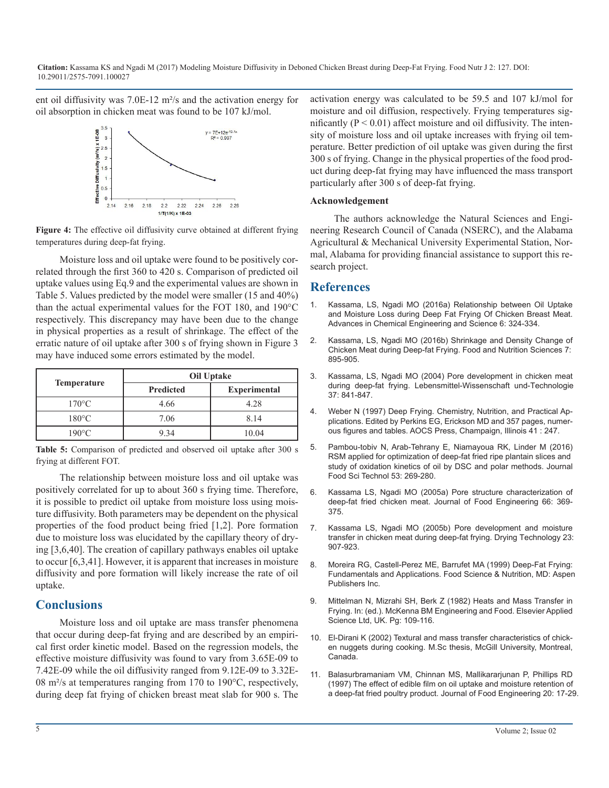ent oil diffusivity was 7.0E-12 m²/s and the activation energy for oil absorption in chicken meat was found to be 107 kJ/mol.



**Figure 4:** The effective oil diffusivity curve obtained at different frying temperatures during deep-fat frying.

Moisture loss and oil uptake were found to be positively correlated through the first 360 to 420 s. Comparison of predicted oil uptake values using Eq.9 and the experimental values are shown in Table 5. Values predicted by the model were smaller (15 and 40%) than the actual experimental values for the FOT 180, and 190°C respectively. This discrepancy may have been due to the change in physical properties as a result of shrinkage. The effect of the erratic nature of oil uptake after 300 s of frying shown in Figure 3 may have induced some errors estimated by the model.

|                    | Oil Uptake       |                     |  |
|--------------------|------------------|---------------------|--|
| <b>Temperature</b> | <b>Predicted</b> | <b>Experimental</b> |  |
| $170^{\circ}$ C    | 4.66             | 4.28                |  |
| $180^{\circ}$ C    | 7.06             | 8.14                |  |
| $190^{\circ}$ C    | 9.34             | 10.04               |  |

Table 5: Comparison of predicted and observed oil uptake after 300 s frying at different FOT.

The relationship between moisture loss and oil uptake was positively correlated for up to about 360 s frying time. Therefore, [it is possible to predict oil uptake from moisture loss using mois](http://www.sciencedirect.com/science/article/pii/S026087740400161X)ture diffusivity. Both parameters may be dependent on the physical properties of the food product being fried [1,2]. Pore formation [due to moisture loss was elucidated by the capillary theory of dry](http://www.tandfonline.com/doi/abs/10.1081/DRT-200054239?journalCode=ldrt20)ing [3,6,40]. The creation of capillary pathways enables oil uptake to occur [6,3,41]. However, it is apparent that increases in moisture [diffusivity and pore formation will likely increase the rate of oil](https://books.google.co.in/books?id=rxgx93JLYOwC)  uptake.

# **Conclusions**

Moisture loss and oil uptake are mass transfer phenomena that occur during deep-fat frying and are described by an empirical first order kinetic model. Based on the regression models, the effective moisture diffusivity was found to vary from 3.65E-09 to 7.42E-09 while the oil diffusivity ranged from 9.12E-09 to 3.32E-[08 m²/s at temperatures ranging from 170 to 190°C, respectively,](http://onlinelibrary.wiley.com/doi/10.1111/j.1745-4530.1997.tb00408.x/abstract)  during deep fat frying of chicken breast meat slab for 900 s. The activation energy was calculated to be 59.5 and 107 kJ/mol for moisture and oil diffusion, respectively. Frying temperatures significantly ( $P < 0.01$ ) affect moisture and oil diffusivity. The intensity of moisture loss and oil uptake increases with frying oil temperature. Better prediction of oil uptake was given during the first 300 s of frying. Change in the physical properties of the food product during deep-fat frying may have influenced the mass transport particularly after 300 s of deep-fat frying.

#### **Acknowledgement**

The authors acknowledge the Natural Sciences and Engineering Research Council of Canada (NSERC), and the Alabama Agricultural & Mechanical University Experimental Station, Normal, Alabama for providing financial assistance to support this research project.

### **References**

- 1. [Kassama, LS, Ngadi MO \(2016a\) Relationship between Oil Uptake](https://www.scirp.org/journal/PaperInformation.aspx?PaperID=69979)  [and Moisture Loss during Deep Fat Frying Of Chicken Breast Meat.](https://www.scirp.org/journal/PaperInformation.aspx?PaperID=69979)  [Advances in Chemical Engineering and Science 6: 324-334.](https://www.scirp.org/journal/PaperInformation.aspx?PaperID=69979)
- 2. [Kassama, LS, Ngadi MO \(2016b\) Shrinkage and Density Change of](http://www.scirp.org/JOURNAL/PaperInformation.aspx?PaperID=70218)  [Chicken Meat during Deep-fat Frying. Food and Nutrition Sciences 7:](http://www.scirp.org/JOURNAL/PaperInformation.aspx?PaperID=70218)  [895-905.](http://www.scirp.org/JOURNAL/PaperInformation.aspx?PaperID=70218)
- 3. [Kassama, LS, Ngadi MO \(2004\) Pore development in chicken meat](http://www.sciencedirect.com/science/article/pii/S002364380400088X)  [during deep-fat frying. Lebensmittel-Wissenschaft und-Technologie](http://www.sciencedirect.com/science/article/pii/S002364380400088X)  [37: 841-847.](http://www.sciencedirect.com/science/article/pii/S002364380400088X)
- 4. [Weber N \(1997\) Deep Frying. Chemistry, Nutrition, and Practical Ap](http://www.sciencedirect.com/science/article/pii/S002364380400088X)[plications. Edited by Perkins EG, Erickson MD and 357 pages, numer](http://www.sciencedirect.com/science/article/pii/S002364380400088X)[ous figures and tables. AOCS Press, Champaign, Illinois 41 : 247.](http://www.sciencedirect.com/science/article/pii/S002364380400088X)
- 5. [Pambou-tobiv N, Arab-Tehrany E, Niamayoua RK, Linder M \(2016\)](https://link.springer.com/article/10.1007/s13197-015-2021-y)  [RSM applied for optimization of deep-fat fried ripe plantain slices and](https://link.springer.com/article/10.1007/s13197-015-2021-y)  [study of oxidation kinetics of oil by DSC and polar methods. Journal](https://link.springer.com/article/10.1007/s13197-015-2021-y)  [Food Sci Technol 53: 269-280.](https://link.springer.com/article/10.1007/s13197-015-2021-y)
- 6. [Kassama LS, Ngadi MO \(2005a\) Pore structure characterization of](http://www.sciencedirect.com/science/article/pii/S026087740400161X)  deep-fat fried chicken meat. Journal of Food Engineering 66: 369- [375.](http://www.sciencedirect.com/science/article/pii/S026087740400161X)
- 7. [Kassama LS, Ngadi MO \(2005b\) Pore development and moisture](http://www.tandfonline.com/doi/abs/10.1081/DRT-200054239?journalCode=ldrt20)  transfer in chicken meat during deep-fat frying. Drying Technology 23: [907-923.](http://www.tandfonline.com/doi/abs/10.1081/DRT-200054239?journalCode=ldrt20)
- 8. [Moreira RG, Castell-Perez ME, Barrufet MA \(1999\) Deep-Fat Frying:](https://books.google.co.in/books?id=rxgx93JLYOwC) Fundamentals and Applications. Food Science & Nutrition, MD: Aspen [Publishers Inc.](https://books.google.co.in/books?id=rxgx93JLYOwC)
- 9. Mittelman N, Mizrahi SH, Berk Z (1982) Heats and Mass Transfer in Frying. In: (ed.). McKenna BM Engineering and Food. Elsevier Applied Science Ltd, UK. Pg: 109-116.
- 10. El-Dirani K (2002) Textural and mass transfer characteristics of chicken nuggets during cooking. M.Sc thesis, McGill University, Montreal, Canada.
- 11. [Balasurbramaniam VM, Chinnan MS, Mallikararjunan P, Phillips RD](http://onlinelibrary.wiley.com/doi/10.1111/j.1745-4530.1997.tb00408.x/abstract)  (1997) The effect of edible film on oil uptake and moisture retention of [a deep-fat fried poultry product. Journal of Food Engineering 20: 17-29](http://onlinelibrary.wiley.com/doi/10.1111/j.1745-4530.1997.tb00408.x/abstract).